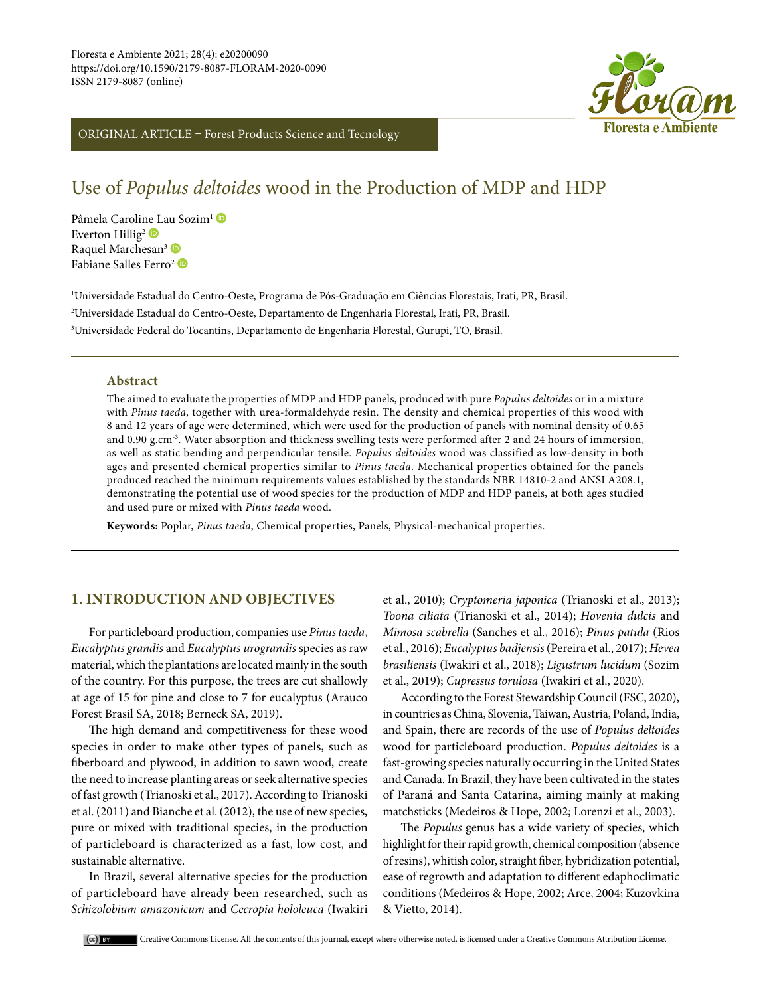

## ORIGINAL ARTICLE – Forest Products Science and Tecnology

# Use of *Populus deltoides* wood in the Production of MDP and HDP

Pâmela Caroli[ne L](https://orcid.org/0000-0002-7895-2453)au Sozim<sup>1</sup> Everton Hillig<sup>2</sup> Raquel Marchesan<sup>3</sup> Fabiane Salles Ferro<sup>2</sup>

1 Universidade Estadual do Centro-Oeste, Programa de Pós-Graduação em Ciências Florestais, Irati, PR, Brasil. 2 Universidade Estadual do Centro-Oeste, Departamento de Engenharia Florestal, Irati, PR, Brasil. 3 Universidade Federal do Tocantins, Departamento de Engenharia Florestal, Gurupi, TO, Brasil.

#### **Abstract**

The aimed to evaluate the properties of MDP and HDP panels, produced with pure *Populus deltoides* or in a mixture with *Pinus taeda*, together with urea-formaldehyde resin. The density and chemical properties of this wood with 8 and 12 years of age were determined, which were used for the production of panels with nominal density of 0.65 and 0.90 g.cm-3. Water absorption and thickness swelling tests were performed after 2 and 24 hours of immersion, as well as static bending and perpendicular tensile. *Populus deltoides* wood was classified as low-density in both ages and presented chemical properties similar to *Pinus taeda*. Mechanical properties obtained for the panels produced reached the minimum requirements values established by the standards NBR 14810-2 and ANSI A208.1, demonstrating the potential use of wood species for the production of MDP and HDP panels, at both ages studied and used pure or mixed with *Pinus taeda* wood.

**Keywords:** Poplar, *Pinus taeda*, Chemical properties, Panels, Physical-mechanical properties.

## **1. INTRODUCTION AND OBJECTIVES**

For particleboard production, companies use *Pinus taeda*, *Eucalyptus grandis* and *Eucalyptus urograndis* species as raw material, which the plantations are located mainly in the south of the country. For this purpose, the trees are cut shallowly at age of 15 for pine and close to 7 for eucalyptus (Arauco Forest Brasil SA, 2018; Berneck SA, 2019).

The high demand and competitiveness for these wood species in order to make other types of panels, such as fiberboard and plywood, in addition to sawn wood, create the need to increase planting areas or seek alternative species of fast growth (Trianoski et al., 2017). According to Trianoski et al. (2011) and Bianche et al. (2012), the use of new species, pure or mixed with traditional species, in the production of particleboard is characterized as a fast, low cost, and sustainable alternative.

In Brazil, several alternative species for the production of particleboard have already been researched, such as *Schizolobium amazonicum* and *Cecropia hololeuca* (Iwakiri et al., 2010); *Cryptomeria japonica* (Trianoski et al., 2013); *Toona ciliata* (Trianoski et al., 2014); *Hovenia dulcis* and *Mimosa scabrella* (Sanches et al., 2016); *Pinus patula* (Rios et al., 2016); *Eucalyptus badjensis* (Pereira et al., 2017); *Hevea brasiliensis* (Iwakiri et al., 2018); *Ligustrum lucidum* (Sozim et al., 2019); *Cupressus torulosa* (Iwakiri et al., 2020).

According to the Forest Stewardship Council (FSC, 2020), in countries as China, Slovenia, Taiwan, Austria, Poland, India, and Spain, there are records of the use of *Populus deltoides* wood for particleboard production. *Populus deltoides* is a fast-growing species naturally occurring in the United States and Canada. In Brazil, they have been cultivated in the states of Paraná and Santa Catarina, aiming mainly at making matchsticks (Medeiros & Hope, 2002; Lorenzi et al., 2003).

The *Populus* genus has a wide variety of species, which highlight for their rapid growth, chemical composition (absence of resins), whitish color, straight fiber, hybridization potential, ease of regrowth and adaptation to different edaphoclimatic conditions (Medeiros & Hope, 2002; Arce, 2004; Kuzovkina & Vietto, 2014).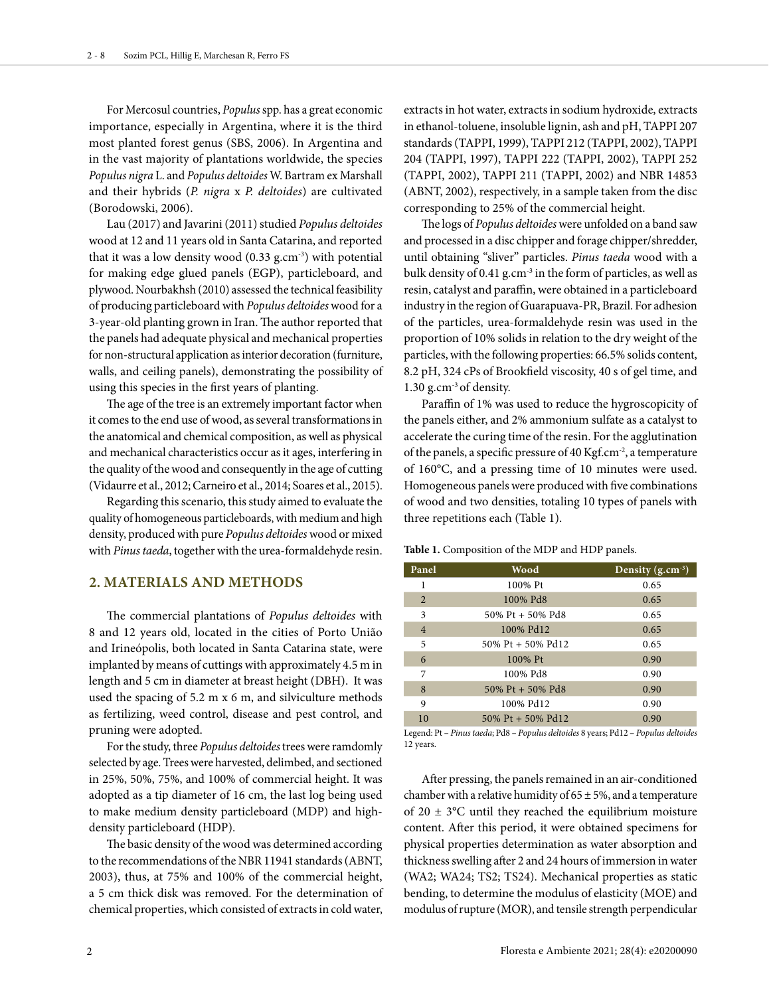For Mercosul countries, *Populus* spp. has a great economic importance, especially in Argentina, where it is the third most planted forest genus (SBS, 2006). In Argentina and in the vast majority of plantations worldwide, the species *Populus nigra* L. and *Populus deltoides* W. Bartram ex Marshall and their hybrids (*P. nigra* x *P. deltoides*) are cultivated (Borodowski, 2006).

Lau (2017) and Javarini (2011) studied *Populus deltoides* wood at 12 and 11 years old in Santa Catarina, and reported that it was a low density wood  $(0.33 \text{ g.cm}^3)$  with potential for making edge glued panels (EGP), particleboard, and plywood. Nourbakhsh (2010) assessed the technical feasibility of producing particleboard with *Populus deltoides* wood for a 3-year-old planting grown in Iran. The author reported that the panels had adequate physical and mechanical properties for non-structural application as interior decoration (furniture, walls, and ceiling panels), demonstrating the possibility of using this species in the first years of planting.

The age of the tree is an extremely important factor when it comes to the end use of wood, as several transformations in the anatomical and chemical composition, as well as physical and mechanical characteristics occur as it ages, interfering in the quality of the wood and consequently in the age of cutting (Vidaurre et al., 2012; Carneiro et al., 2014; Soares et al., 2015).

Regarding this scenario, this study aimed to evaluate the quality of homogeneous particleboards, with medium and high density, produced with pure *Populus deltoides* wood or mixed with *Pinus taeda*, together with the urea-formaldehyde resin.

### **2. MATERIALS AND METHODS**

The commercial plantations of *Populus deltoides* with 8 and 12 years old, located in the cities of Porto União and Irineópolis, both located in Santa Catarina state, were implanted by means of cuttings with approximately 4.5 m in length and 5 cm in diameter at breast height (DBH). It was used the spacing of 5.2 m x 6 m, and silviculture methods as fertilizing, weed control, disease and pest control, and pruning were adopted.

For the study, three *Populus deltoides* trees were ramdomly selected by age. Trees were harvested, delimbed, and sectioned in 25%, 50%, 75%, and 100% of commercial height. It was adopted as a tip diameter of 16 cm, the last log being used to make medium density particleboard (MDP) and highdensity particleboard (HDP).

The basic density of the wood was determined according to the recommendations of the NBR 11941 standards (ABNT, 2003), thus, at 75% and 100% of the commercial height, a 5 cm thick disk was removed. For the determination of chemical properties, which consisted of extracts in cold water,

extracts in hot water, extracts in sodium hydroxide, extracts in ethanol-toluene, insoluble lignin, ash and pH, TAPPI 207 standards (TAPPI, 1999), TAPPI 212 (TAPPI, 2002), TAPPI 204 (TAPPI, 1997), TAPPI 222 (TAPPI, 2002), TAPPI 252 (TAPPI, 2002), TAPPI 211 (TAPPI, 2002) and NBR 14853 (ABNT, 2002), respectively, in a sample taken from the disc corresponding to 25% of the commercial height.

The logs of *Populus deltoides* were unfolded on a band saw and processed in a disc chipper and forage chipper/shredder, until obtaining "sliver" particles. *Pinus taeda* wood with a bulk density of 0.41 g.cm-3 in the form of particles, as well as resin, catalyst and paraffin, were obtained in a particleboard industry in the region of Guarapuava-PR, Brazil. For adhesion of the particles, urea-formaldehyde resin was used in the proportion of 10% solids in relation to the dry weight of the particles, with the following properties: 66.5% solids content, 8.2 pH, 324 cPs of Brookfield viscosity, 40 s of gel time, and 1.30 g.cm-3 of density.

Paraffin of 1% was used to reduce the hygroscopicity of the panels either, and 2% ammonium sulfate as a catalyst to accelerate the curing time of the resin. For the agglutination of the panels, a specific pressure of 40 Kgf.cm-2, a temperature of 160°C, and a pressing time of 10 minutes were used. Homogeneous panels were produced with five combinations of wood and two densities, totaling 10 types of panels with three repetitions each (Table 1).

| Panel          | <b>Wood</b>       | Density $(g.cm^{-3})$ |
|----------------|-------------------|-----------------------|
| 1              | 100% Pt           | 0.65                  |
| $\overline{2}$ | 100% Pd8          | 0.65                  |
| 3              | 50% Pt + 50% Pd8  | 0.65                  |
| $\overline{4}$ | 100% Pd12         | 0.65                  |
| 5              | 50% Pt + 50% Pd12 | 0.65                  |
| 6              | 100% Pt           | 0.90                  |
| 7              | 100% Pd8          | 0.90                  |
| 8              | 50% Pt + 50% Pd8  | 0.90                  |
| 9              | 100% Pd12         | 0.90                  |
| 10             | 50% Pt + 50% Pd12 | 0.90                  |

**Table 1.** Composition of the MDP and HDP panels.

Legend: Pt – *Pinus taeda*; Pd8 – *Populus deltoides* 8 years; Pd12 – *Populus deltoides*  12 years.

After pressing, the panels remained in an air-conditioned chamber with a relative humidity of  $65 \pm 5$ %, and a temperature of  $20 \pm 3$ °C until they reached the equilibrium moisture content. After this period, it were obtained specimens for physical properties determination as water absorption and thickness swelling after 2 and 24 hours of immersion in water (WA2; WA24; TS2; TS24). Mechanical properties as static bending, to determine the modulus of elasticity (MOE) and modulus of rupture (MOR), and tensile strength perpendicular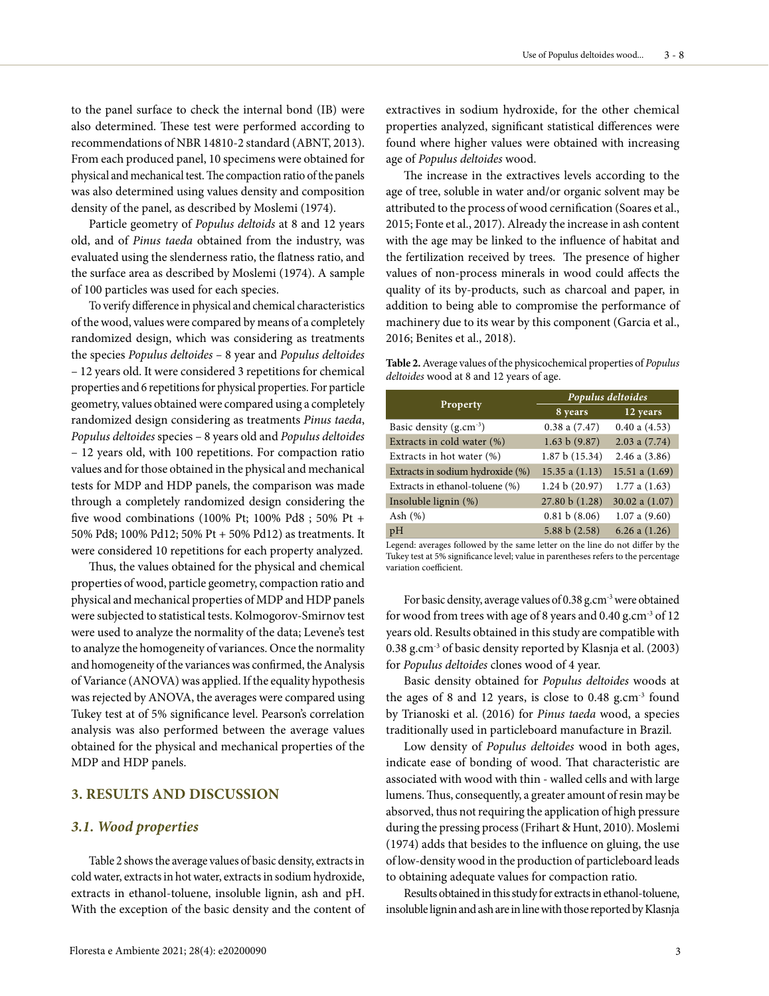to the panel surface to check the internal bond (IB) were also determined. These test were performed according to recommendations of NBR 14810-2 standard (ABNT, 2013). From each produced panel, 10 specimens were obtained for physical and mechanical test. The compaction ratio of the panels was also determined using values density and composition density of the panel, as described by Moslemi (1974).

Particle geometry of *Populus deltoids* at 8 and 12 years old, and of *Pinus taeda* obtained from the industry, was evaluated using the slenderness ratio, the flatness ratio, and the surface area as described by Moslemi (1974). A sample of 100 particles was used for each species.

To verify difference in physical and chemical characteristics of the wood, values were compared by means of a completely randomized design, which was considering as treatments the species *Populus deltoides –* 8 year and *Populus deltoides* – 12 years old. It were considered 3 repetitions for chemical properties and 6 repetitions for physical properties. For particle geometry, values obtained were compared using a completely randomized design considering as treatments *Pinus taeda*, *Populus deltoides* species – 8 years old and *Populus deltoides* – 12 years old, with 100 repetitions. For compaction ratio values and for those obtained in the physical and mechanical tests for MDP and HDP panels, the comparison was made through a completely randomized design considering the five wood combinations (100% Pt; 100% Pd8 ; 50% Pt + 50% Pd8; 100% Pd12; 50% Pt + 50% Pd12) as treatments. It were considered 10 repetitions for each property analyzed.

Thus, the values obtained for the physical and chemical properties of wood, particle geometry, compaction ratio and physical and mechanical properties of MDP and HDP panels were subjected to statistical tests. Kolmogorov-Smirnov test were used to analyze the normality of the data; Levene's test to analyze the homogeneity of variances. Once the normality and homogeneity of the variances was confirmed, the Analysis of Variance (ANOVA) was applied. If the equality hypothesis was rejected by ANOVA, the averages were compared using Tukey test at of 5% significance level. Pearson's correlation analysis was also performed between the average values obtained for the physical and mechanical properties of the MDP and HDP panels.

### **3. RESULTS AND DISCUSSION**

#### *3.1. Wood properties*

Table 2 shows the average values of basic density, extracts in cold water, extracts in hot water, extracts in sodium hydroxide, extracts in ethanol-toluene, insoluble lignin, ash and pH. With the exception of the basic density and the content of extractives in sodium hydroxide, for the other chemical properties analyzed, significant statistical differences were found where higher values were obtained with increasing age of *Populus deltoides* wood.

The increase in the extractives levels according to the age of tree, soluble in water and/or organic solvent may be attributed to the process of wood cernification (Soares et al., 2015; Fonte et al., 2017). Already the increase in ash content with the age may be linked to the influence of habitat and the fertilization received by trees. The presence of higher values of non-process minerals in wood could affects the quality of its by-products, such as charcoal and paper, in addition to being able to compromise the performance of machinery due to its wear by this component (Garcia et al., 2016; Benites et al., 2018).

**Table 2.** Average values of the physicochemical properties of *Populus deltoides* wood at 8 and 12 years of age.

|                                     | Populus deltoides  |                   |  |  |  |
|-------------------------------------|--------------------|-------------------|--|--|--|
| Property                            | 8 years            | 12 years          |  |  |  |
| Basic density (g.cm <sup>-3</sup> ) | $0.38$ a $(7.47)$  | $0.40$ a $(4.53)$ |  |  |  |
| Extracts in cold water (%)          | 1.63 b(9.87)       | $2.03$ a $(7.74)$ |  |  |  |
| Extracts in hot water $(\%)$        | 1.87 b (15.34)     | $2.46$ a $(3.86)$ |  |  |  |
| Extracts in sodium hydroxide (%)    | $15.35$ a $(1.13)$ | 15.51 a $(1.69)$  |  |  |  |
| Extracts in ethanol-toluene (%)     | 1.24 b (20.97)     | 1.77a(1.63)       |  |  |  |
| Insoluble lignin (%)                | 27.80 b (1.28)     | 30.02 a $(1.07)$  |  |  |  |
| Ash $(\%)$                          | 0.81 b(8.06)       | 1.07a(9.60)       |  |  |  |
| pH                                  | 5.88 b(2.58)       | 6.26 a $(1.26)$   |  |  |  |

Legend: averages followed by the same letter on the line do not differ by the Tukey test at 5% significance level; value in parentheses refers to the percentage variation coefficient.

For basic density, average values of 0.38 g.cm<sup>-3</sup> were obtained for wood from trees with age of 8 years and 0.40 g.cm-3 of 12 years old. Results obtained in this study are compatible with 0.38 g.cm-3 of basic density reported by Klasnja et al. (2003) for *Populus deltoides* clones wood of 4 year.

Basic density obtained for *Populus deltoides* woods at the ages of 8 and 12 years, is close to 0.48 g.cm-3 found by Trianoski et al. (2016) for *Pinus taeda* wood, a species traditionally used in particleboard manufacture in Brazil.

Low density of *Populus deltoides* wood in both ages, indicate ease of bonding of wood. That characteristic are associated with wood with thin - walled cells and with large lumens. Thus, consequently, a greater amount of resin may be absorved, thus not requiring the application of high pressure during the pressing process (Frihart & Hunt, 2010). Moslemi (1974) adds that besides to the influence on gluing, the use of low-density wood in the production of particleboard leads to obtaining adequate values for compaction ratio.

Results obtained in this study for extracts in ethanol-toluene, insoluble lignin and ash are in line with those reported by Klasnja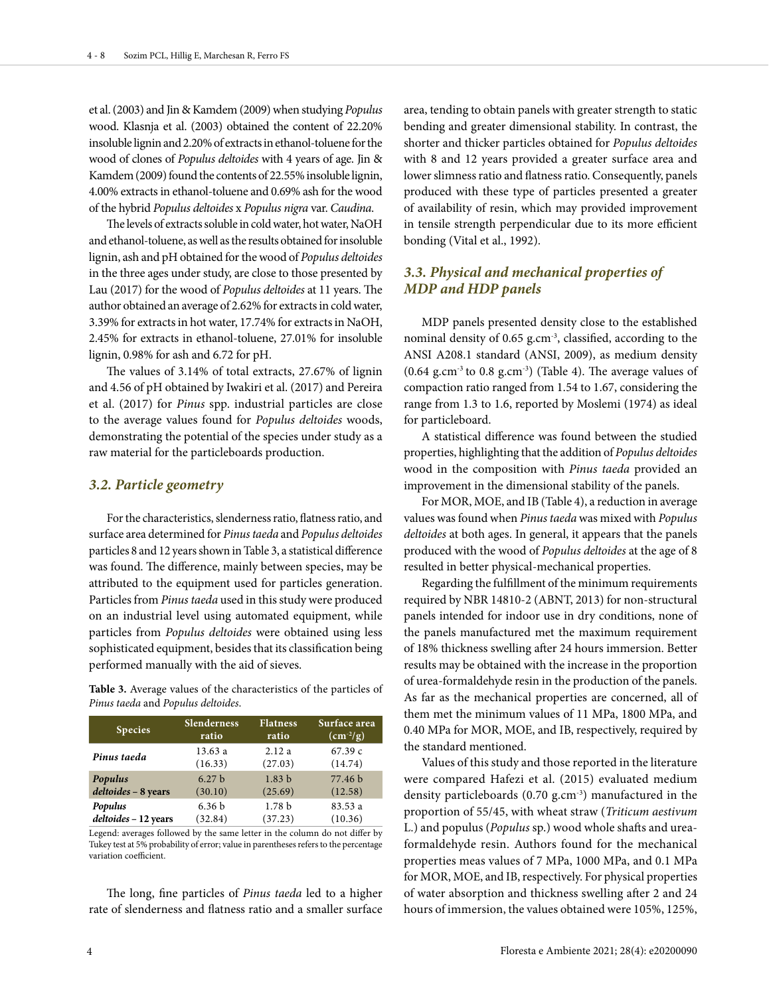et al. (2003) and Jin & Kamdem (2009) when studying *Populus* wood. Klasnja et al. (2003) obtained the content of 22.20% insoluble lignin and 2.20% of extracts in ethanol-toluene for the wood of clones of *Populus deltoides* with 4 years of age. Jin & Kamdem (2009) found the contents of 22.55% insoluble lignin, 4.00% extracts in ethanol-toluene and 0.69% ash for the wood of the hybrid *Populus deltoides* x *Populus nigra* var. *Caudina*.

The levels of extracts soluble in cold water, hot water, NaOH and ethanol-toluene, as well as the results obtained for insoluble lignin, ash and pH obtained for the wood of *Populus deltoides* in the three ages under study, are close to those presented by Lau (2017) for the wood of *Populus deltoides* at 11 years. The author obtained an average of 2.62% for extracts in cold water, 3.39% for extracts in hot water, 17.74% for extracts in NaOH, 2.45% for extracts in ethanol-toluene, 27.01% for insoluble lignin, 0.98% for ash and 6.72 for pH.

The values of 3.14% of total extracts, 27.67% of lignin and 4.56 of pH obtained by Iwakiri et al. (2017) and Pereira et al. (2017) for *Pinus* spp. industrial particles are close to the average values found for *Populus deltoides* woods, demonstrating the potential of the species under study as a raw material for the particleboards production.

#### *3.2. Particle geometry*

For the characteristics, slenderness ratio, flatness ratio, and surface area determined for *Pinus taeda* and *Populus deltoides* particles 8 and 12 years shown in Table 3, a statistical difference was found. The difference, mainly between species, may be attributed to the equipment used for particles generation. Particles from *Pinus taeda* used in this study were produced on an industrial level using automated equipment, while particles from *Populus deltoides* were obtained using less sophisticated equipment, besides that its classification being performed manually with the aid of sieves.

**Table 3.** Average values of the characteristics of the particles of *Pinus taeda* and *Populus deltoides*.

| <b>Species</b>       | <b>Slenderness</b> | <b>Flatness</b>   | Surface area             |
|----------------------|--------------------|-------------------|--------------------------|
|                      | ratio              | ratio             | $\text{(cm}^2/\text{g})$ |
| Pinus taeda          | 13.63 a            | 2.12a             | 67.39c                   |
|                      | (16.33)            | (27.03)           | (14.74)                  |
| Populus              | 6.27 <sub>b</sub>  | 1.83 <sub>b</sub> | 77.46 b                  |
| deltoides - 8 years  | (30.10)            | (25.69)           | (12.58)                  |
| Populus              | 6.36 <sub>b</sub>  | 1.78 <sub>b</sub> | 83.53 a                  |
| deltoides - 12 years | (32.84)            | (37.23)           | (10.36)                  |

Legend: averages followed by the same letter in the column do not differ by Tukey test at 5% probability of error; value in parentheses refers to the percentage variation coefficient.

The long, fine particles of *Pinus taeda* led to a higher rate of slenderness and flatness ratio and a smaller surface area, tending to obtain panels with greater strength to static bending and greater dimensional stability. In contrast, the shorter and thicker particles obtained for *Populus deltoides* with 8 and 12 years provided a greater surface area and lower slimness ratio and flatness ratio. Consequently, panels produced with these type of particles presented a greater of availability of resin, which may provided improvement in tensile strength perpendicular due to its more efficient bonding (Vital et al., 1992).

### *3.3. Physical and mechanical properties of MDP and HDP panels*

MDP panels presented density close to the established nominal density of 0.65 g.cm-3, classified, according to the ANSI A208.1 standard (ANSI, 2009), as medium density  $(0.64 \text{ g.cm}^3)$  to 0.8 g.cm<sup>-3</sup>) (Table 4). The average values of compaction ratio ranged from 1.54 to 1.67, considering the range from 1.3 to 1.6, reported by Moslemi (1974) as ideal for particleboard.

A statistical difference was found between the studied properties, highlighting that the addition of *Populus deltoides* wood in the composition with *Pinus taeda* provided an improvement in the dimensional stability of the panels.

For MOR, MOE, and IB (Table 4), a reduction in average values was found when *Pinus taeda* was mixed with *Populus deltoides* at both ages. In general, it appears that the panels produced with the wood of *Populus deltoides* at the age of 8 resulted in better physical-mechanical properties.

Regarding the fulfillment of the minimum requirements required by NBR 14810-2 (ABNT, 2013) for non-structural panels intended for indoor use in dry conditions, none of the panels manufactured met the maximum requirement of 18% thickness swelling after 24 hours immersion. Better results may be obtained with the increase in the proportion of urea-formaldehyde resin in the production of the panels. As far as the mechanical properties are concerned, all of them met the minimum values of 11 MPa, 1800 MPa, and 0.40 MPa for MOR, MOE, and IB, respectively, required by the standard mentioned.

Values of this study and those reported in the literature were compared Hafezi et al. (2015) evaluated medium density particleboards (0.70 g.cm-3) manufactured in the proportion of 55/45, with wheat straw (*Triticum aestivum* L.) and populus (*Populus* sp.) wood whole shafts and ureaformaldehyde resin. Authors found for the mechanical properties meas values of 7 MPa, 1000 MPa, and 0.1 MPa for MOR, MOE, and IB, respectively. For physical properties of water absorption and thickness swelling after 2 and 24 hours of immersion, the values obtained were 105%, 125%,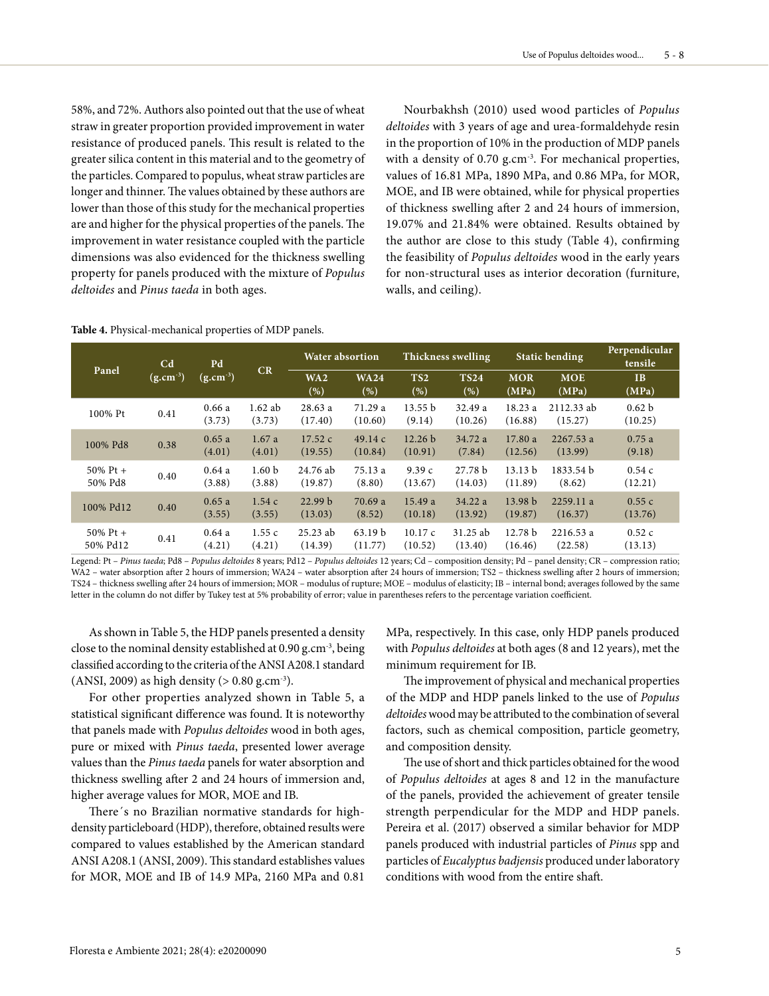58%, and 72%. Authors also pointed out that the use of wheat straw in greater proportion provided improvement in water resistance of produced panels. This result is related to the greater silica content in this material and to the geometry of the particles. Compared to populus, wheat straw particles are longer and thinner. The values obtained by these authors are lower than those of this study for the mechanical properties are and higher for the physical properties of the panels. The improvement in water resistance coupled with the particle dimensions was also evidenced for the thickness swelling property for panels produced with the mixture of *Populus deltoides* and *Pinus taeda* in both ages.

Nourbakhsh (2010) used wood particles of *Populus deltoides* with 3 years of age and urea-formaldehyde resin in the proportion of 10% in the production of MDP panels with a density of 0.70 g.cm<sup>-3</sup>. For mechanical properties, values of 16.81 MPa, 1890 MPa, and 0.86 MPa, for MOR, MOE, and IB were obtained, while for physical properties of thickness swelling after 2 and 24 hours of immersion, 19.07% and 21.84% were obtained. Results obtained by the author are close to this study (Table 4), confirming the feasibility of *Populus deltoides* wood in the early years for non-structural uses as interior decoration (furniture, walls, and ceiling).

| Panel |                      | C <sub>d</sub><br>$(g.cm^{-3})$ | Pd<br>$(g.cm^{-3})$ | CR                          | <b>Water absortion</b> |                        | Thickness swelling            |                               | <b>Static bending</b>         |                       | Perpendicular<br>tensile     |
|-------|----------------------|---------------------------------|---------------------|-----------------------------|------------------------|------------------------|-------------------------------|-------------------------------|-------------------------------|-----------------------|------------------------------|
|       | WA2<br>(%)           |                                 |                     |                             | <b>WA24</b><br>(% )    | TS <sub>2</sub><br>(%) | <b>TS24</b><br>(% )           | <b>MOR</b><br>(MPa)           | <b>MOE</b><br>(MPa)           | IB<br>(MPa)           |                              |
|       | 100% Pt              | 0.41                            | 0.66a<br>(3.73)     | $1.62$ ab<br>(3.73)         | 28.63a<br>(17.40)      | 71.29 a<br>(10.60)     | 13.55 b<br>(9.14)             | 32.49 a<br>(10.26)            | 18.23 a<br>(16.88)            | 2112.33 ab<br>(15.27) | 0.62 <sub>b</sub><br>(10.25) |
|       | 100% Pd8             | 0.38                            | 0.65a<br>(4.01)     | 1.67a<br>(4.01)             | 17.52c<br>(19.55)      | 49.14c<br>(10.84)      | 12.26 <sub>b</sub><br>(10.91) | 34.72 a<br>(7.84)             | 17.80a<br>(12.56)             | 2267.53 a<br>(13.99)  | 0.75a<br>(9.18)              |
|       | 50% Pt +<br>50% Pd8  | 0.40                            | 0.64a<br>(3.88)     | 1.60 <sub>b</sub><br>(3.88) | 24.76 ab<br>(19.87)    | 75.13 a<br>(8.80)      | 9.39c<br>(13.67)              | 27.78 <sub>b</sub><br>(14.03) | 13.13 <sub>b</sub><br>(11.89) | 1833.54 b<br>(8.62)   | 0.54c<br>(12.21)             |
|       | 100% Pd12            | 0.40                            | 0.65a<br>(3.55)     | 1.54c<br>(3.55)             | 22.99 b<br>(13.03)     | 70.69a<br>(8.52)       | 15.49a<br>(10.18)             | 34.22 a<br>(13.92)            | 13.98 <sub>b</sub><br>(19.87) | 2259.11 a<br>(16.37)  | 0.55c<br>(13.76)             |
|       | 50% Pt +<br>50% Pd12 | 0.41                            | 0.64a<br>(4.21)     | 1.55c<br>(4.21)             | $25.23$ ab<br>(14.39)  | 63.19 b<br>(11.77)     | 10.17c<br>(10.52)             | 31.25 ab<br>(13.40)           | 12.78 b<br>(16.46)            | 2216.53 a<br>(22.58)  | 0.52c<br>(13.13)             |

#### **Table 4.** Physical-mechanical properties of MDP panels.

Legend: Pt – *Pinus taeda*; Pd8 – *Populus deltoides* 8 years; Pd12 – *Populus deltoides* 12 years; Cd – composition density; Pd – panel density; CR – compression ratio; WA2 – water absorption after 2 hours of immersion; WA24 – water absorption after 24 hours of immersion; TS2 – thickness swelling after 2 hours of immersion; TS24 – thickness swelling after 24 hours of immersion; MOR – modulus of rupture; MOE – modulus of elasticity; IB – internal bond; averages followed by the same letter in the column do not differ by Tukey test at 5% probability of error; value in parentheses refers to the percentage variation coefficient.

As shown in Table 5, the HDP panels presented a density close to the nominal density established at 0.90 g.cm-3, being classified according to the criteria of the ANSI A208.1 standard (ANSI, 2009) as high density ( $> 0.80$  g.cm<sup>-3</sup>).

For other properties analyzed shown in Table 5, a statistical significant difference was found. It is noteworthy that panels made with *Populus deltoides* wood in both ages, pure or mixed with *Pinus taeda*, presented lower average values than the *Pinus taeda* panels for water absorption and thickness swelling after 2 and 24 hours of immersion and, higher average values for MOR, MOE and IB.

There´s no Brazilian normative standards for highdensity particleboard (HDP), therefore, obtained results were compared to values established by the American standard ANSI A208.1 (ANSI, 2009). This standard establishes values for MOR, MOE and IB of 14.9 MPa, 2160 MPa and 0.81

MPa, respectively. In this case, only HDP panels produced with *Populus deltoides* at both ages (8 and 12 years), met the minimum requirement for IB.

The improvement of physical and mechanical properties of the MDP and HDP panels linked to the use of *Populus deltoides* wood may be attributed to the combination of several factors, such as chemical composition, particle geometry, and composition density.

The use of short and thick particles obtained for the wood of *Populus deltoides* at ages 8 and 12 in the manufacture of the panels, provided the achievement of greater tensile strength perpendicular for the MDP and HDP panels. Pereira et al. (2017) observed a similar behavior for MDP panels produced with industrial particles of *Pinus* spp and particles of *Eucalyptus badjensis* produced under laboratory conditions with wood from the entire shaft.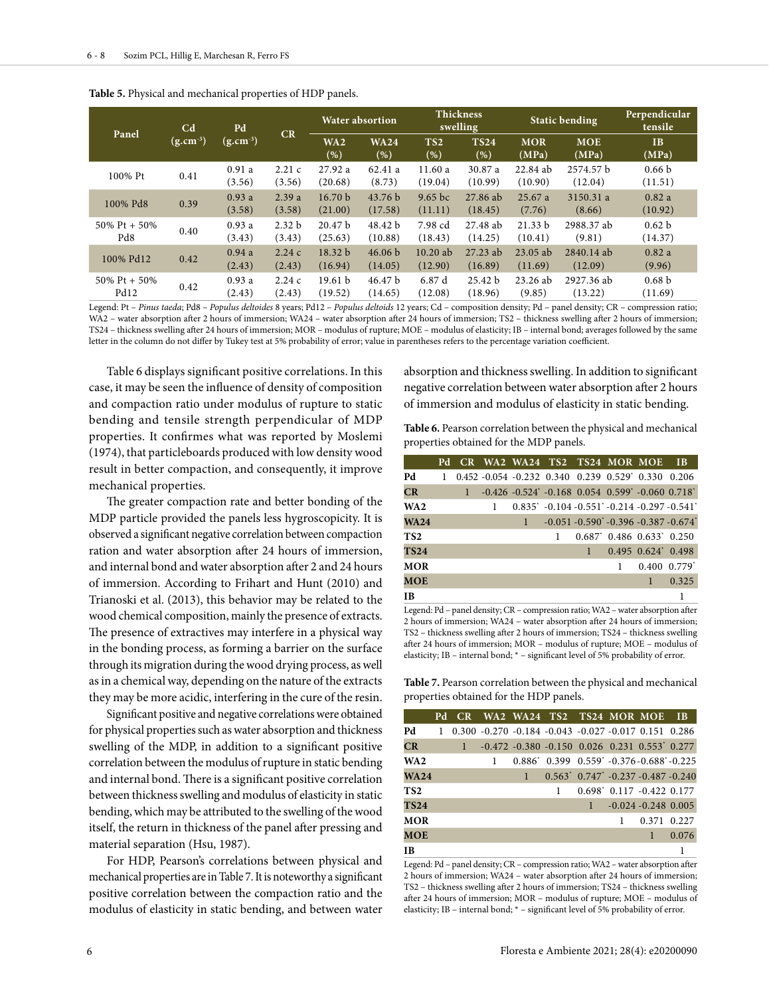| Panel                | C <sub>d</sub><br>$(g.cm^{-3})$ | Pd<br>$(g.cm^{-3})$ | CR                          | <b>Water absortion</b>        |                               | <b>Thickness</b><br>swelling |                       | <b>Static bending</b> |                       | Perpendicular<br>tensile     |
|----------------------|---------------------------------|---------------------|-----------------------------|-------------------------------|-------------------------------|------------------------------|-----------------------|-----------------------|-----------------------|------------------------------|
|                      |                                 |                     |                             | WA2<br>( %)                   | <b>WA24</b><br>$(\%)$         | TS <sub>2</sub><br>(%)       | <b>TS24</b><br>(%)    | <b>MOR</b><br>(MPa)   | <b>MOE</b><br>(MPa)   | IB<br>(MPa)                  |
| 100% Pt              | 0.41                            | 0.91a<br>(3.56)     | 2.21c<br>(3.56)             | 27.92 a<br>(20.68)            | 62.41 a<br>(8.73)             | 11.60a<br>(19.04)            | 30.87 a<br>(10.99)    | 22.84 ab<br>(10.90)   | 2574.57 b<br>(12.04)  | 0.66 <sub>b</sub><br>(11.51) |
| 100% Pd8             | 0.39                            | 0.93a<br>(3.58)     | 2.39a<br>(3.58)             | 16.70 <sub>b</sub><br>(21.00) | 43.76 <sub>b</sub><br>(17.58) | $9.65$ bc<br>(11.11)         | 27.86 ab<br>(18.45)   | 25.67a<br>(7.76)      | 3150.31 a<br>(8.66)   | 0.82a<br>(10.92)             |
| 50% Pt + 50%<br>Pd8  | 0.40                            | 0.93a<br>(3.43)     | 2.32 <sub>b</sub><br>(3.43) | 20.47 <sub>b</sub><br>(25.63) | 48.42 b<br>(10.88)            | 7.98 cd<br>(18.43)           | 27.48 ab<br>(14.25)   | 21.33 b<br>(10.41)    | 2988.37 ab<br>(9.81)  | 0.62 <sub>b</sub><br>(14.37) |
| 100% Pd12            | 0.42                            | 0.94a<br>(2.43)     | 2.24c<br>(2.43)             | 18.32 <sub>b</sub><br>(16.94) | 46.06 <sub>b</sub><br>(14.05) | $10.20$ ab<br>(12.90)        | $27.23$ ab<br>(16.89) | $23.05$ ab<br>(11.69) | 2840.14 ab<br>(12.09) | 0.82a<br>(9.96)              |
| 50% Pt + 50%<br>Pd12 | 0.42                            | 0.93a<br>(2.43)     | 2.24c<br>(2.43)             | 19.61 <sub>b</sub><br>(19.52) | 46.47 <sub>b</sub><br>(14.65) | 6.87d<br>(12.08)             | 25.42 b<br>(18.96)    | $23.26$ ab<br>(9.85)  | 2927.36 ab<br>(13.22) | 0.68 <sub>b</sub><br>(11.69) |

**Table 5.** Physical and mechanical properties of HDP panels.

Legend: Pt – *Pinus taeda*; Pd8 – *Populus deltoides* 8 years; Pd12 – *Populus deltoids* 12 years; Cd – composition density; Pd – panel density; CR – compression ratio; WA2 – water absorption after 2 hours of immersion; WA24 – water absorption after 24 hours of immersion; TS2 – thickness swelling after 2 hours of immersion; TS24 – thickness swelling after 24 hours of immersion; MOR – modulus of rupture; MOE – modulus of elasticity; IB – internal bond; averages followed by the same letter in the column do not differ by Tukey test at 5% probability of error; value in parentheses refers to the percentage variation coefficient.

Table 6 displays significant positive correlations. In this case, it may be seen the influence of density of composition and compaction ratio under modulus of rupture to static bending and tensile strength perpendicular of MDP properties. It confirmes what was reported by Moslemi (1974), that particleboards produced with low density wood result in better compaction, and consequently, it improve mechanical properties.

The greater compaction rate and better bonding of the MDP particle provided the panels less hygroscopicity. It is observed a significant negative correlation between compaction ration and water absorption after 24 hours of immersion, and internal bond and water absorption after 2 and 24 hours of immersion. According to Frihart and Hunt (2010) and Trianoski et al. (2013), this behavior may be related to the wood chemical composition, mainly the presence of extracts. The presence of extractives may interfere in a physical way in the bonding process, as forming a barrier on the surface through its migration during the wood drying process, as well as in a chemical way, depending on the nature of the extracts they may be more acidic, interfering in the cure of the resin.

Significant positive and negative correlations were obtained for physical properties such as water absorption and thickness swelling of the MDP, in addition to a significant positive correlation between the modulus of rupture in static bending and internal bond. There is a significant positive correlation between thickness swelling and modulus of elasticity in static bending, which may be attributed to the swelling of the wood itself, the return in thickness of the panel after pressing and material separation (Hsu, 1987).

For HDP, Pearson's correlations between physical and mechanical properties are in Table 7. It is noteworthy a significant positive correlation between the compaction ratio and the modulus of elasticity in static bending, and between water

absorption and thickness swelling. In addition to significant negative correlation between water absorption after 2 hours of immersion and modulus of elasticity in static bending.

**Table 6.** Pearson correlation between the physical and mechanical properties obtained for the MDP panels.

|                 |  |   | Pd CR WA2 WA24 TS2 TS24 MOR MOE IB                                            |                                                                        |                                    |                 |
|-----------------|--|---|-------------------------------------------------------------------------------|------------------------------------------------------------------------|------------------------------------|-----------------|
| Pd              |  |   | $0.452 - 0.054 - 0.232 - 0.340 - 0.239 - 0.529^* - 0.330 - 0.206$             |                                                                        |                                    |                 |
| CR              |  |   | $1 -0.426 -0.524^* -0.168$ 0.054 0.599 <sup>*</sup> -0.060 0.718 <sup>*</sup> |                                                                        |                                    |                 |
| WA <sub>2</sub> |  | 1 |                                                                               | $0.835^*$ -0.104 -0.551 <sup>*</sup> -0.214 -0.297 -0.541 <sup>*</sup> |                                    |                 |
| <b>WA24</b>     |  |   | 1                                                                             | $-0.051 - 0.590$ <sup>*</sup> $-0.396 - 0.387 - 0.674$ <sup>*</sup>    |                                    |                 |
| TS <sub>2</sub> |  |   |                                                                               | $0.687$ <sup>*</sup> $0.486$ $0.633$ <sup>*</sup> $0.250$              |                                    |                 |
| <b>TS24</b>     |  |   |                                                                               |                                                                        | $1$ 0.495 0.624 <sup>*</sup> 0.498 |                 |
| <b>MOR</b>      |  |   |                                                                               |                                                                        |                                    | $0.400$ $0.779$ |
| <b>MOE</b>      |  |   |                                                                               |                                                                        | $\mathbf{1}$                       | 0.325           |
| ΙB              |  |   |                                                                               |                                                                        |                                    |                 |

Legend: Pd – panel density; CR – compression ratio; WA2 – water absorption after 2 hours of immersion; WA24 – water absorption after 24 hours of immersion; TS2 – thickness swelling after 2 hours of immersion; TS24 – thickness swelling after 24 hours of immersion; MOR – modulus of rupture; MOE – modulus of elasticity; IB – internal bond; \* – significant level of 5% probability of error.

**Table 7.** Pearson correlation between the physical and mechanical properties obtained for the HDP panels.

|                 |    |  |              | Pd CR WA2 WA24 TS2 TS24 MOR MOE IB                               |                              |                         |       |
|-----------------|----|--|--------------|------------------------------------------------------------------|------------------------------|-------------------------|-------|
| Pd              | -1 |  |              | $0.300 - 0.270 - 0.184 - 0.043 - 0.027 - 0.017 - 0.151 - 0.286$  |                              |                         |       |
| CR              |    |  |              | $1 -0.472 -0.380 -0.150 -0.026 -0.231 -0.553$ <sup>*</sup> 0.277 |                              |                         |       |
| WA <sub>2</sub> |    |  |              | $0.886^*$ $0.399$ $0.559^*$ $-0.376$ $-0.688^*$ $-0.225$         |                              |                         |       |
| <b>WA24</b>     |    |  | $\mathbf{1}$ | $0.563$ $0.747$ $-0.237$ $-0.487$ $-0.240$                       |                              |                         |       |
| TS <sub>2</sub> |    |  |              |                                                                  | $0.698^*$ 0.117 -0.422 0.177 |                         |       |
| <b>TS24</b>     |    |  |              |                                                                  |                              | $1 -0.024 -0.248 0.005$ |       |
| <b>MOR</b>      |    |  |              |                                                                  |                              | 0.371 0.227             |       |
| <b>MOE</b>      |    |  |              |                                                                  |                              | 1                       | 0.076 |
| <b>TB</b>       |    |  |              |                                                                  |                              |                         |       |

Legend: Pd – panel density; CR – compression ratio; WA2 – water absorption after 2 hours of immersion; WA24 – water absorption after 24 hours of immersion; TS2 – thickness swelling after 2 hours of immersion; TS24 – thickness swelling after 24 hours of immersion; MOR – modulus of rupture; MOE – modulus of elasticity; IB – internal bond; \* – significant level of 5% probability of error.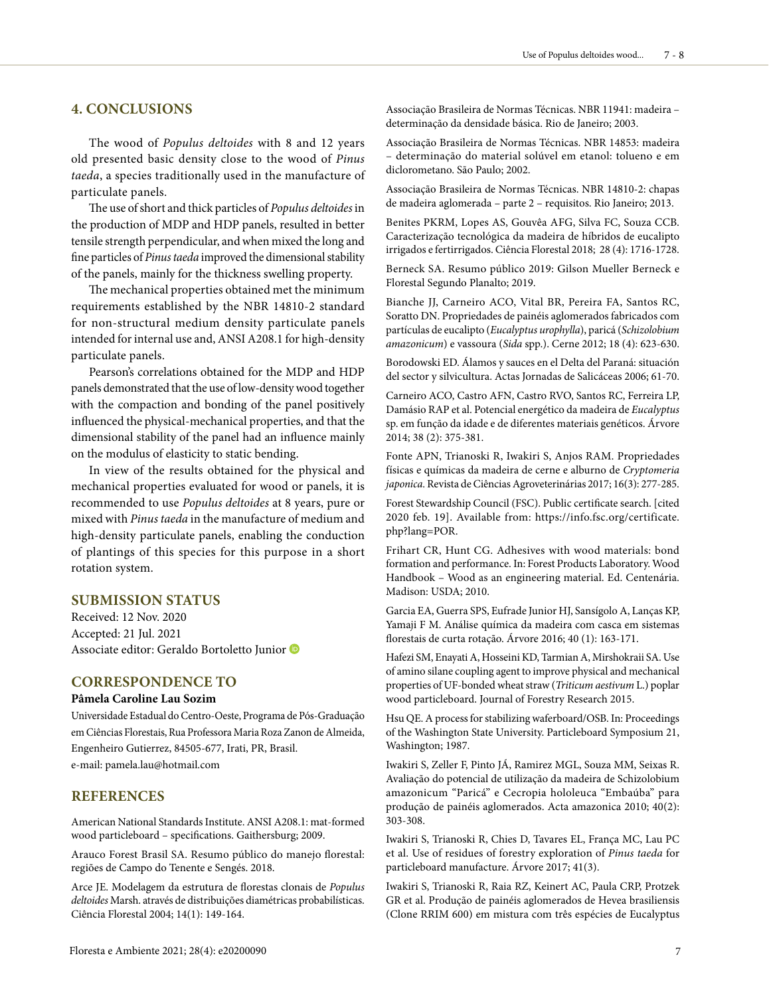### **4. CONCLUSIONS**

The wood of *Populus deltoides* with 8 and 12 years old presented basic density close to the wood of *Pinus taeda*, a species traditionally used in the manufacture of particulate panels.

The use of short and thick particles of *Populus deltoides* in the production of MDP and HDP panels, resulted in better tensile strength perpendicular, and when mixed the long and fine particles of *Pinus taeda* improved the dimensional stability of the panels, mainly for the thickness swelling property.

The mechanical properties obtained met the minimum requirements established by the NBR 14810-2 standard for non-structural medium density particulate panels intended for internal use and, ANSI A208.1 for high-density particulate panels.

Pearson's correlations obtained for the MDP and HDP panels demonstrated that the use of low-density wood together with the compaction and bonding of the panel positively influenced the physical-mechanical properties, and that the dimensional stability of the panel had an influence mainly on the modulus of elasticity to static bending.

In view of the results obtained for the physical and mechanical properties evaluated for wood or panels, it is recommended to use *Populus deltoides* at 8 years, pure or mixed with *Pinus taeda* in the manufacture of medium and high-density particulate panels, enabling the conduction of plantings of this species for this purpose in a short rotation system.

### **SUBMISSION STATUS**

Received: 12 Nov. 2020 Accepted: 21 Jul. 2021 Associate editor: Geraldo Bortoletto Junior

### **CORRESPONDENCE TO**

#### **Pâmela Caroline Lau Sozim**

Universidade Estadual do Centro-Oeste, Programa de Pós-Graduação em Ciências Florestais, Rua Professora Maria Roza Zanon de Almeida, Engenheiro Gutierrez, 84505-677, Irati, PR, Brasil. e-mail: pamela.lau@hotmail.com

### **REFERENCES**

American National Standards Institute. ANSI A208.1: mat-formed wood particleboard – specifications. Gaithersburg; 2009.

Arauco Forest Brasil SA. Resumo público do manejo florestal: regiões de Campo do Tenente e Sengés. 2018.

Arce JE. Modelagem da estrutura de florestas clonais de *Populus deltoides* Marsh. através de distribuições diamétricas probabilísticas. Ciência Florestal 2004; 14(1): 149-164.

Associação Brasileira de Normas Técnicas. NBR 14853: madeira – determinação do material solúvel em etanol: tolueno e em diclorometano. São Paulo; 2002.

Associação Brasileira de Normas Técnicas. NBR 14810-2: chapas de madeira aglomerada – parte 2 – requisitos. Rio Janeiro; 2013.

Benites PKRM, Lopes AS, Gouvêa AFG, Silva FC, Souza CCB. Caracterização tecnológica da madeira de híbridos de eucalipto irrigados e fertirrigados. Ciência Florestal 2018; 28 (4): 1716-1728.

Berneck SA. Resumo público 2019: Gilson Mueller Berneck e Florestal Segundo Planalto; 2019.

Bianche JJ, Carneiro ACO, Vital BR, Pereira FA, Santos RC, Soratto DN. Propriedades de painéis aglomerados fabricados com partículas de eucalipto (*Eucalyptus urophylla*), paricá (*Schizolobium amazonicum*) e vassoura (*Sida* spp.). Cerne 2012; 18 (4): 623-630.

Borodowski ED. Álamos y sauces en el Delta del Paraná: situación del sector y silvicultura. Actas Jornadas de Salicáceas 2006; 61-70.

Carneiro ACO, Castro AFN, Castro RVO, Santos RC, Ferreira LP, Damásio RAP et al. Potencial energético da madeira de *Eucalyptus* sp. em função da idade e de diferentes materiais genéticos. Árvore 2014; 38 (2): 375-381.

Fonte APN, Trianoski R, Iwakiri S, Anjos RAM. Propriedades físicas e químicas da madeira de cerne e alburno de *Cryptomeria japonica*. Revista de Ciências Agroveterinárias 2017; 16(3): 277-285.

Forest Stewardship Council (FSC). Public certificate search. [cited 2020 feb. 19]. Available from: https://info.fsc.org/certificate. php?lang=POR.

Frihart CR, Hunt CG. Adhesives with wood materials: bond formation and performance. In: Forest Products Laboratory. Wood Handbook – Wood as an engineering material. Ed. Centenária. Madison: USDA; 2010.

Garcia EA, Guerra SPS, Eufrade Junior HJ, Sansígolo A, Lanças KP, Yamaji F M. Análise química da madeira com casca em sistemas florestais de curta rotação. Árvore 2016; 40 (1): 163-171.

Hafezi SM, Enayati A, Hosseini KD, Tarmian A, Mirshokraii SA. Use of amino silane coupling agent to improve physical and mechanical properties of UF-bonded wheat straw (*Triticum aestivum* L.) poplar wood particleboard. Journal of Forestry Research 2015.

Hsu QE. A process for stabilizing waferboard/OSB. In: Proceedings of the Washington State University. Particleboard Symposium 21, Washington; 1987.

Iwakiri S, Zeller F, Pinto JÁ, Ramirez MGL, Souza MM, Seixas R. Avaliação do potencial de utilização da madeira de Schizolobium amazonicum "Paricá" e Cecropia hololeuca "Embaúba" para produção de painéis aglomerados. Acta amazonica 2010; 40(2): 303-308.

Iwakiri S, Trianoski R, Chies D, Tavares EL, França MC, Lau PC et al. Use of residues of forestry exploration of *Pinus taeda* for particleboard manufacture. Árvore 2017; 41(3).

Iwakiri S, Trianoski R, Raia RZ, Keinert AC, Paula CRP, Protzek GR et al. Produção de painéis aglomerados de Hevea brasiliensis (Clone RRIM 600) em mistura com três espécies de Eucalyptus